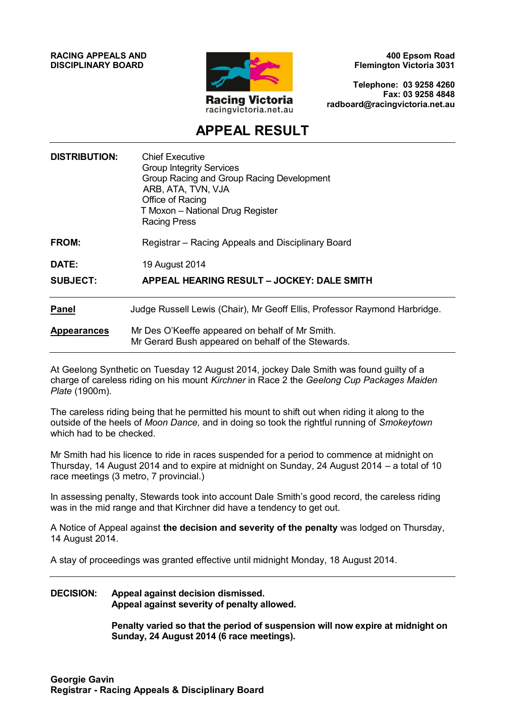**RACING APPEALS AND DISCIPLINARY BOARD**



**400 Epsom Road Flemington Victoria 3031**

**Telephone: 03 9258 4260 Fax: 03 9258 4848 radboard@racingvictoria.net.au**

## **APPEAL RESULT**

| <b>DISTRIBUTION:</b>            | <b>Chief Executive</b><br><b>Group Integrity Services</b><br>Group Racing and Group Racing Development<br>ARB, ATA, TVN, VJA<br>Office of Racing<br>T Moxon - National Drug Register<br><b>Racing Press</b> |
|---------------------------------|-------------------------------------------------------------------------------------------------------------------------------------------------------------------------------------------------------------|
| FROM:                           | Registrar – Racing Appeals and Disciplinary Board                                                                                                                                                           |
| <b>DATE:</b><br><b>SUBJECT:</b> | 19 August 2014<br>APPEAL HEARING RESULT - JOCKEY: DALE SMITH                                                                                                                                                |
| <b>Panel</b>                    | Judge Russell Lewis (Chair), Mr Geoff Ellis, Professor Raymond Harbridge.                                                                                                                                   |
| <b>Appearances</b>              | Mr Des O'Keeffe appeared on behalf of Mr Smith.<br>Mr Gerard Bush appeared on behalf of the Stewards.                                                                                                       |

At Geelong Synthetic on Tuesday 12 August 2014, jockey Dale Smith was found guilty of a charge of careless riding on his mount *Kirchner* in Race 2 the *Geelong Cup Packages Maiden Plate* (1900m).

The careless riding being that he permitted his mount to shift out when riding it along to the outside of the heels of *Moon Dance,* and in doing so took the rightful running of *Smokeytown*  which had to be checked.

Mr Smith had his licence to ride in races suspended for a period to commence at midnight on Thursday, 14 August 2014 and to expire at midnight on Sunday, 24 August 2014 – a total of 10 race meetings (3 metro, 7 provincial.)

In assessing penalty, Stewards took into account Dale Smith's good record, the careless riding was in the mid range and that Kirchner did have a tendency to get out.

A Notice of Appeal against **the decision and severity of the penalty** was lodged on Thursday, 14 August 2014.

A stay of proceedings was granted effective until midnight Monday, 18 August 2014.

#### **DECISION: Appeal against decision dismissed. Appeal against severity of penalty allowed.**

**Penalty varied so that the period of suspension will now expire at midnight on Sunday, 24 August 2014 (6 race meetings).**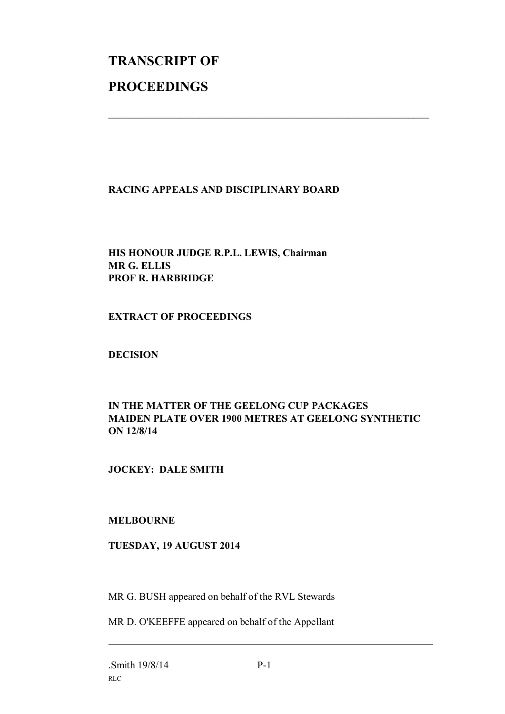# **TRANSCRIPT OF PROCEEDINGS**

#### **RACING APPEALS AND DISCIPLINARY BOARD**

 $\mathcal{L}_\text{max}$  , and the contribution of the contribution of the contribution of the contribution of the contribution of the contribution of the contribution of the contribution of the contribution of the contribution of t

### **HIS HONOUR JUDGE R.P.L. LEWIS, Chairman MR G. ELLIS PROF R. HARBRIDGE**

#### **EXTRACT OF PROCEEDINGS**

#### **DECISION**

### **IN THE MATTER OF THE GEELONG CUP PACKAGES MAIDEN PLATE OVER 1900 METRES AT GEELONG SYNTHETIC ON 12/8/14**

#### **JOCKEY: DALE SMITH**

#### **MELBOURNE**

#### **TUESDAY, 19 AUGUST 2014**

MR G. BUSH appeared on behalf of the RVL Stewards

MR D. O'KEEFFE appeared on behalf of the Appellant